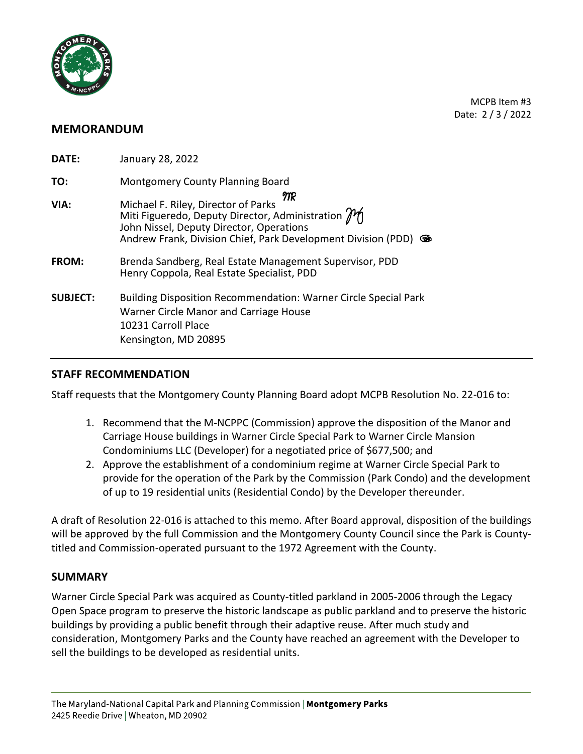

MCPB Item #3 Date: 2 / 3 / 2022

# **MEMORANDUM**

| DATE:           | January 28, 2022                                                                                                                                                                                                               |
|-----------------|--------------------------------------------------------------------------------------------------------------------------------------------------------------------------------------------------------------------------------|
| TO:             | Montgomery County Planning Board                                                                                                                                                                                               |
| VIA:            | MR<br>Michael F. Riley, Director of Parks<br>Miti Figueredo, Deputy Director, Administration $\mathcal{M}$<br>John Nissel, Deputy Director, Operations<br>Andrew Frank, Division Chief, Park Development Division (PDD)<br>ক্ৰ |
| FROM:           | Brenda Sandberg, Real Estate Management Supervisor, PDD<br>Henry Coppola, Real Estate Specialist, PDD                                                                                                                          |
| <b>SUBJECT:</b> | <b>Building Disposition Recommendation: Warner Circle Special Park</b><br>Warner Circle Manor and Carriage House<br>10231 Carroll Place<br>Kensington, MD 20895                                                                |

## **STAFF RECOMMENDATION**

Staff requests that the Montgomery County Planning Board adopt MCPB Resolution No. 22-016 to:

- 1. Recommend that the M-NCPPC (Commission) approve the disposition of the Manor and Carriage House buildings in Warner Circle Special Park to Warner Circle Mansion Condominiums LLC (Developer) for a negotiated price of \$677,500; and
- 2. Approve the establishment of a condominium regime at Warner Circle Special Park to provide for the operation of the Park by the Commission (Park Condo) and the development of up to 19 residential units (Residential Condo) by the Developer thereunder.

A draft of Resolution 22-016 is attached to this memo. After Board approval, disposition of the buildings will be approved by the full Commission and the Montgomery County Council since the Park is Countytitled and Commission-operated pursuant to the 1972 Agreement with the County.

### **SUMMARY**

Warner Circle Special Park was acquired as County-titled parkland in 2005-2006 through the Legacy Open Space program to preserve the historic landscape as public parkland and to preserve the historic buildings by providing a public benefit through their adaptive reuse. After much study and consideration, Montgomery Parks and the County have reached an agreement with the Developer to sell the buildings to be developed as residential units.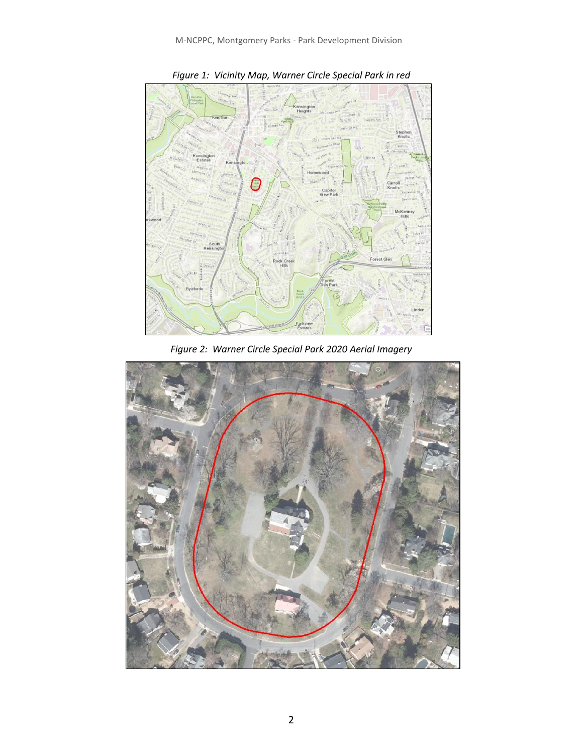

*Figure 1: Vicinity Map, Warner Circle Special Park in red*

*Figure 2: Warner Circle Special Park 2020 Aerial Imagery*

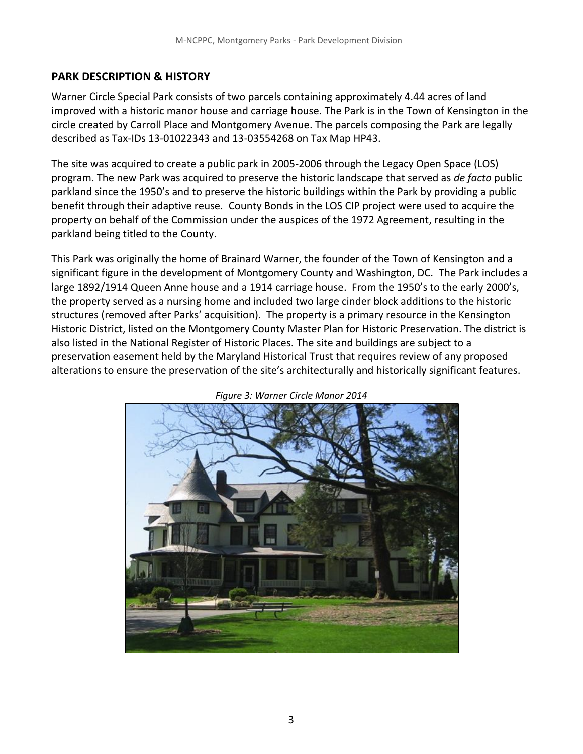## **PARK DESCRIPTION & HISTORY**

Warner Circle Special Park consists of two parcels containing approximately 4.44 acres of land improved with a historic manor house and carriage house. The Park is in the Town of Kensington in the circle created by Carroll Place and Montgomery Avenue. The parcels composing the Park are legally described as Tax-IDs 13-01022343 and 13-03554268 on Tax Map HP43.

The site was acquired to create a public park in 2005-2006 through the Legacy Open Space (LOS) program. The new Park was acquired to preserve the historic landscape that served as *de facto* public parkland since the 1950's and to preserve the historic buildings within the Park by providing a public benefit through their adaptive reuse. County Bonds in the LOS CIP project were used to acquire the property on behalf of the Commission under the auspices of the 1972 Agreement, resulting in the parkland being titled to the County.

This Park was originally the home of Brainard Warner, the founder of the Town of Kensington and a significant figure in the development of Montgomery County and Washington, DC. The Park includes a large 1892/1914 Queen Anne house and a 1914 carriage house. From the 1950's to the early 2000's, the property served as a nursing home and included two large cinder block additions to the historic structures (removed after Parks' acquisition). The property is a primary resource in the Kensington Historic District, listed on the Montgomery County Master Plan for Historic Preservation. The district is also listed in the National Register of Historic Places. The site and buildings are subject to a preservation easement held by the Maryland Historical Trust that requires review of any proposed alterations to ensure the preservation of the site's architecturally and historically significant features.



*Figure 3: Warner Circle Manor 2014*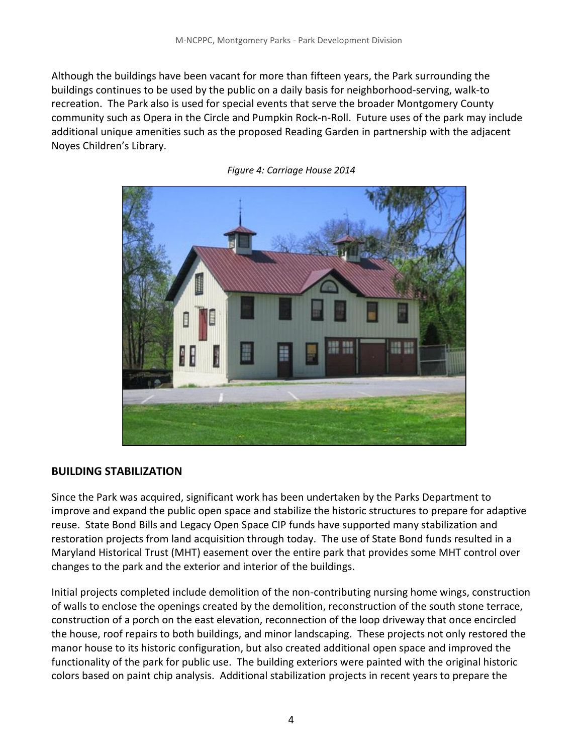Although the buildings have been vacant for more than fifteen years, the Park surrounding the buildings continues to be used by the public on a daily basis for neighborhood-serving, walk-to recreation. The Park also is used for special events that serve the broader Montgomery County community such as Opera in the Circle and Pumpkin Rock-n-Roll. Future uses of the park may include additional unique amenities such as the proposed Reading Garden in partnership with the adjacent Noyes Children's Library.



*Figure 4: Carriage House 2014*

### **BUILDING STABILIZATION**

Since the Park was acquired, significant work has been undertaken by the Parks Department to improve and expand the public open space and stabilize the historic structures to prepare for adaptive reuse. State Bond Bills and Legacy Open Space CIP funds have supported many stabilization and restoration projects from land acquisition through today. The use of State Bond funds resulted in a Maryland Historical Trust (MHT) easement over the entire park that provides some MHT control over changes to the park and the exterior and interior of the buildings.

Initial projects completed include demolition of the non-contributing nursing home wings, construction of walls to enclose the openings created by the demolition, reconstruction of the south stone terrace, construction of a porch on the east elevation, reconnection of the loop driveway that once encircled the house, roof repairs to both buildings, and minor landscaping. These projects not only restored the manor house to its historic configuration, but also created additional open space and improved the functionality of the park for public use. The building exteriors were painted with the original historic colors based on paint chip analysis. Additional stabilization projects in recent years to prepare the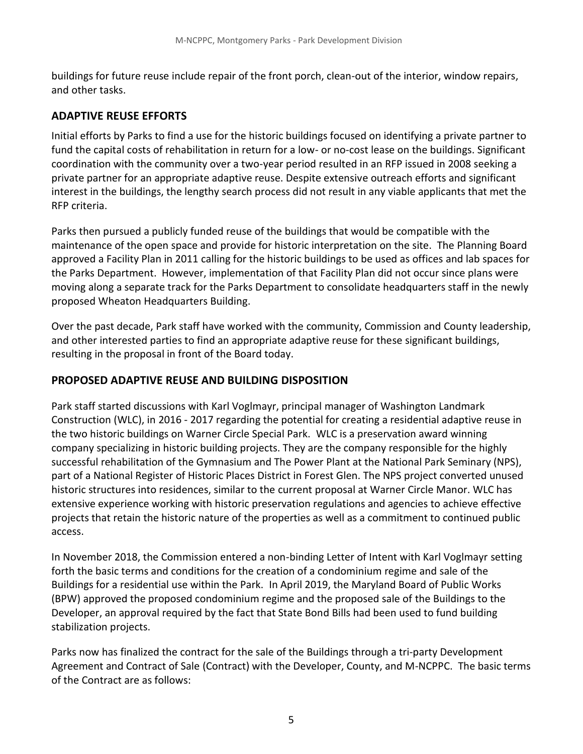buildings for future reuse include repair of the front porch, clean-out of the interior, window repairs, and other tasks.

# **ADAPTIVE REUSE EFFORTS**

Initial efforts by Parks to find a use for the historic buildings focused on identifying a private partner to fund the capital costs of rehabilitation in return for a low- or no-cost lease on the buildings. Significant coordination with the community over a two-year period resulted in an RFP issued in 2008 seeking a private partner for an appropriate adaptive reuse. Despite extensive outreach efforts and significant interest in the buildings, the lengthy search process did not result in any viable applicants that met the RFP criteria.

Parks then pursued a publicly funded reuse of the buildings that would be compatible with the maintenance of the open space and provide for historic interpretation on the site. The Planning Board approved a Facility Plan in 2011 calling for the historic buildings to be used as offices and lab spaces for the Parks Department. However, implementation of that Facility Plan did not occur since plans were moving along a separate track for the Parks Department to consolidate headquarters staff in the newly proposed Wheaton Headquarters Building.

Over the past decade, Park staff have worked with the community, Commission and County leadership, and other interested parties to find an appropriate adaptive reuse for these significant buildings, resulting in the proposal in front of the Board today.

# **PROPOSED ADAPTIVE REUSE AND BUILDING DISPOSITION**

Park staff started discussions with Karl Voglmayr, principal manager of Washington Landmark Construction (WLC), in 2016 - 2017 regarding the potential for creating a residential adaptive reuse in the two historic buildings on Warner Circle Special Park. WLC is a preservation award winning company specializing in historic building projects. They are the company responsible for the highly successful rehabilitation of the Gymnasium and The Power Plant at the National Park Seminary (NPS), part of a National Register of Historic Places District in Forest Glen. The NPS project converted unused historic structures into residences, similar to the current proposal at Warner Circle Manor. WLC has extensive experience working with historic preservation regulations and agencies to achieve effective projects that retain the historic nature of the properties as well as a commitment to continued public access.

In November 2018, the Commission entered a non-binding Letter of Intent with Karl Voglmayr setting forth the basic terms and conditions for the creation of a condominium regime and sale of the Buildings for a residential use within the Park. In April 2019, the Maryland Board of Public Works (BPW) approved the proposed condominium regime and the proposed sale of the Buildings to the Developer, an approval required by the fact that State Bond Bills had been used to fund building stabilization projects.

Parks now has finalized the contract for the sale of the Buildings through a tri-party Development Agreement and Contract of Sale (Contract) with the Developer, County, and M-NCPPC. The basic terms of the Contract are as follows: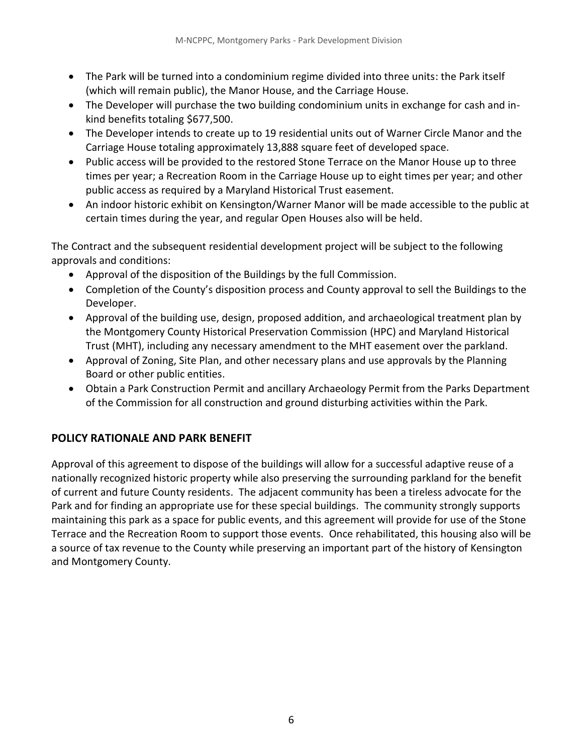- The Park will be turned into a condominium regime divided into three units: the Park itself (which will remain public), the Manor House, and the Carriage House.
- The Developer will purchase the two building condominium units in exchange for cash and inkind benefits totaling \$677,500.
- The Developer intends to create up to 19 residential units out of Warner Circle Manor and the Carriage House totaling approximately 13,888 square feet of developed space.
- Public access will be provided to the restored Stone Terrace on the Manor House up to three times per year; a Recreation Room in the Carriage House up to eight times per year; and other public access as required by a Maryland Historical Trust easement.
- An indoor historic exhibit on Kensington/Warner Manor will be made accessible to the public at certain times during the year, and regular Open Houses also will be held.

The Contract and the subsequent residential development project will be subject to the following approvals and conditions:

- Approval of the disposition of the Buildings by the full Commission.
- Completion of the County's disposition process and County approval to sell the Buildings to the Developer.
- Approval of the building use, design, proposed addition, and archaeological treatment plan by the Montgomery County Historical Preservation Commission (HPC) and Maryland Historical Trust (MHT), including any necessary amendment to the MHT easement over the parkland.
- Approval of Zoning, Site Plan, and other necessary plans and use approvals by the Planning Board or other public entities.
- Obtain a Park Construction Permit and ancillary Archaeology Permit from the Parks Department of the Commission for all construction and ground disturbing activities within the Park.

# **POLICY RATIONALE AND PARK BENEFIT**

Approval of this agreement to dispose of the buildings will allow for a successful adaptive reuse of a nationally recognized historic property while also preserving the surrounding parkland for the benefit of current and future County residents. The adjacent community has been a tireless advocate for the Park and for finding an appropriate use for these special buildings. The community strongly supports maintaining this park as a space for public events, and this agreement will provide for use of the Stone Terrace and the Recreation Room to support those events. Once rehabilitated, this housing also will be a source of tax revenue to the County while preserving an important part of the history of Kensington and Montgomery County.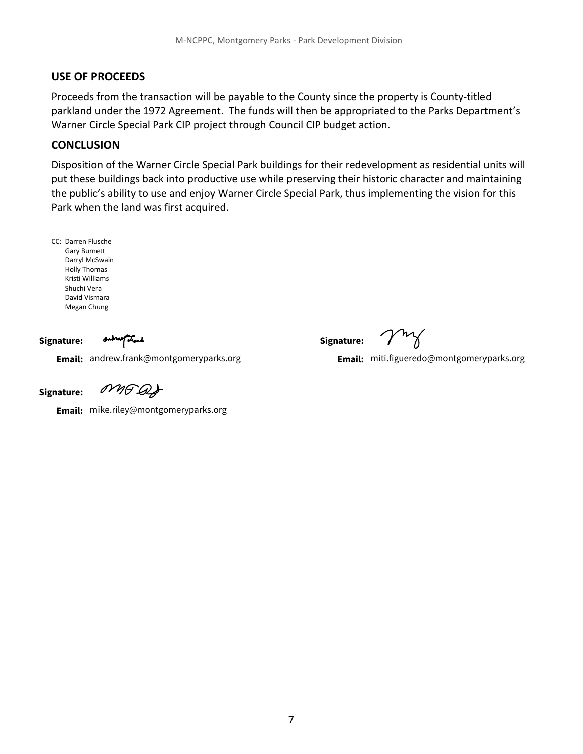#### **USE OF PROCEEDS**

Proceeds from the transaction will be payable to the County since the property is County-titled parkland under the 1972 Agreement. The funds will then be appropriated to the Parks Department's Warner Circle Special Park CIP project through Council CIP budget action.

#### **CONCLUSION**

Disposition of the Warner Circle Special Park buildings for their redevelopment as residential units will put these buildings back into productive use while preserving their historic character and maintaining the public's ability to use and enjoy Warner Circle Special Park, thus implementing the vision for this Park when the land was first acquired.

CC: Darren Flusche Gary Burnett Darryl McSwain Holly Thomas Kristi Williams Shuchi Vera David Vismara Megan Chung

**Signature:**

outroof Land

Email: andrew.frank@montgomeryparks.org **Email:** andrew.frank@montgomeryparks.org miti.figueredo@montgomeryparks.org

**Signature:**

**Signature:**

MAGAS

**Email:** mike.riley@montgomeryparks.org